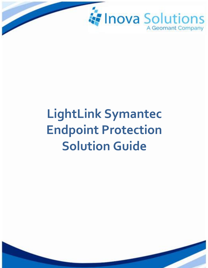

# **LightLink Symantec Endpoint Protection Solution Guide**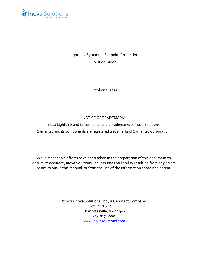

LightLink Symantec Endpoint Protection Solution Guide

October 9, 2013

#### NOTICE OF TRADEMARK:

Inova LightLink and its components are trademarks of Inova Solutions. Symantec and its components are registered trademarks of Symantec Corporation.

While reasonable efforts have been taken in the preparation of this document to ensure its accuracy, Inova Solutions, Inc. assumes no liability resulting from any errors or omissions in this manual, or from the use of the information contained herein.

> © 2021 Inova Solutions, Inc., a Geomant Company 971 2nd ST S.E. Charlottesville, VA 22902 434.817.8000 [www.inovasolutions.com](http://www.inovasolutions.com/)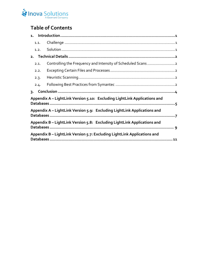# Inova Solutions

# **Table of Contents**

|                                                                           | 1.1. |  |  |
|---------------------------------------------------------------------------|------|--|--|
|                                                                           | 1.2. |  |  |
| 2.                                                                        |      |  |  |
|                                                                           | 2.1. |  |  |
|                                                                           | 2.2. |  |  |
|                                                                           | 2.3. |  |  |
|                                                                           | 2.4. |  |  |
| $\overline{3}$ .                                                          |      |  |  |
| Appendix A - LightLink Version 5.10: Excluding LightLink Applications and |      |  |  |
| Appendix A – LightLink Version 5.9: Excluding LightLink Applications and  |      |  |  |
| Appendix B - LightLink Version 5.8: Excluding LightLink Applications and  |      |  |  |
|                                                                           |      |  |  |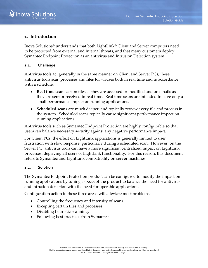

### <span id="page-3-0"></span>**1. Introduction**

Inova Solutions® understands that both LightLink® Client and Server computers need to be protected from external and internal threats, and that many customers deploy Symantec Endpoint Protection as an antivirus and Intrusion Detection system.

#### <span id="page-3-1"></span>**1.1. Challenge**

Antivirus tools act generally in the same manner on Client and Server PCs; these antivirus tools scan processes and files for viruses both in real time and in accordance with a schedule.

- **Real time scans** act on files as they are accessed or modified and on emails as they are sent or received in real time. Real time scans are intended to have only a small performance impact on running applications.
- **Scheduled scans** are much deeper, and typically review every file and process in the system. Scheduled scans typically cause significant performance impact on running applications.

Antivirus tools such as Symantec Endpoint Protection are highly configurable so that users can balance necessary security against any negative performance impact.

For Client PCs, the effect on LightLink applications is generally limited to user frustration with slow response, particularly during a scheduled scan. However, on the Server PC, antivirus tools can have a more significant centralized impact on LightLink processes, depriving all users of LightLink functionality. For this reason, this document refers to Symantec and LightLink compatibility on server machines.

#### <span id="page-3-2"></span>**1.2. Solution**

The Symantec Endpoint Protection product can be configured to modify the impact on running applications by tuning aspects of the product to balance the need for antivirus and intrusion detection with the need for operable applications.

Configuration action in these three areas will alleviate most problems:

- Controlling the frequency and intensity of scans.
- Excepting certain files and processes.
- Disabling heuristic scanning.
- Following best practices from Symantec.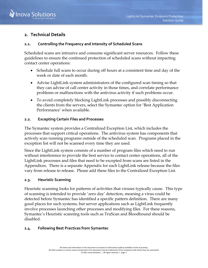

# <span id="page-4-0"></span>**2. Technical Details**

#### <span id="page-4-1"></span>**2.1. Controlling the Frequency and Intensity of Scheduled Scans**

Scheduled scans are intrusive and consume significant server resources. Follow these guidelines to ensure the continued protection of scheduled scans without impacting contact center operations:

- Schedule full scans to occur during off hours at a consistent time and day of the week or date of each month.
- Advise LightLink system administrators of the configured scan timing so that they can advise of call center activity in those times, and correlate performance problems or malfunctions with the antivirus activity if such problems occur.
- To avoid completely blocking LightLink processes and possibly disconnecting the clients from the servers, select the Symantec option for 'Best Application Performance' when available.

#### <span id="page-4-2"></span>**2.2. Excepting Certain Files and Processes**

The Symantec system provides a Centralized Exception List, which includes the processes that support critical operations. The antivirus system has components that actively scan running programs outside of the scheduled scan. Programs placed in the exception list will not be scanned every time they are used.

Since the LightLink system consists of a number of program files which need to run without interference to provide the best service to contact center operations, all of the LightLink processes and files that need to be excepted from scans are listed in the Appendices. There is a separate Appendix for each LightLink release because the files vary from release to release. Please add these files to the Centralized Exception List.

#### <span id="page-4-3"></span>**2.3. Heuristic Scanning**

Heuristic scanning looks for patterns of activities that viruses typically cause. This type of scanning is intended to provide 'zero day' detection, meaning a virus could be detected before Symantec has identified a specific pattern definition. There are many good places for such systems, but server applications such as LightLink frequently involve processes launching other processes and modifying files. For these reasons, Symantec's Heuristic scanning tools such as TruScan and Bloodhound should be disabled.

#### <span id="page-4-4"></span>**2.4. Following Best Practices from Symantec**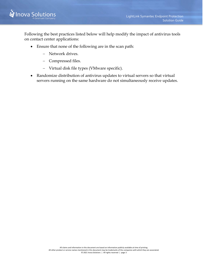

Following the best practices listed below will help modify the impact of antivirus tools on contact center applications:

- Ensure that none of the following are in the scan path:
	- − Network drives.
	- − Compressed files.
	- − Virtual disk file types (VMware specific).
- Randomize distribution of antivirus updates to virtual servers so that virtual servers running on the same hardware do not simultaneously receive updates.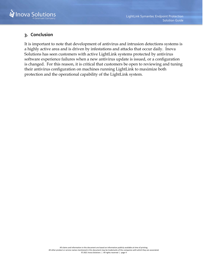

# <span id="page-6-0"></span>**3. Conclusion**

It is important to note that development of antivirus and intrusion detections systems is a highly active area and is driven by infestations and attacks that occur daily. Inova Solutions has seen customers with active LightLink systems protected by antivirus software experience failures when a new antivirus update is issued, or a configuration is changed. For this reason, it is critical that customers be open to reviewing and tuning their antivirus configuration on machines running LightLink to maximize both protection and the operational capability of the LightLink system.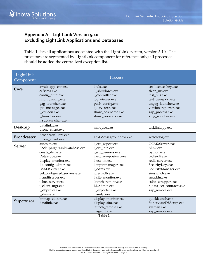

# <span id="page-7-0"></span>**Appendix A – LightLink Version 5.10: Excluding LightLink Applications and Databases**

Table 1 lists all applications associated with the LightLink system, version 5.10. The processes are segmented by LightLink component for reference only; all processes should be added the centralized exception list.

| LightLink<br>Component |                             | Process                      |                          |
|------------------------|-----------------------------|------------------------------|--------------------------|
| Core                   | await_app_exit.exe          | i_uls.exe                    | set_license_key.exe      |
|                        | cefview.exe                 | ll_shutdown.exe              | sleep_ms.exe             |
|                        | config_blurt.exe            | 1_controller.exe             | test_bus.exe             |
|                        | find_running.exe            | log_viewer.exe               | test_transport.exe       |
|                        | gag_launcher.exe            | push_config.exe              | ungag_launcher.exe       |
|                        | gui_message.exe             | query_text.exe               | version_reporter.exe     |
|                        | i cefloon.exe               | show_hostname.exe            | zap_process.exe          |
|                        | i launcher.exe              | show_versions.exe            | zing_window.exe          |
|                        | i_sublauncher.exe           |                              |                          |
| Desktop                | datalink.exe                | marquee.exe                  | tasklinkapp.exe          |
|                        | drone_client.exe            |                              |                          |
|                        | BroadcastClient.exe         |                              | watchdog.exe             |
| <b>Broadcaster</b>     | drone_client.exe            | TextMessageWindow.exe        |                          |
|                        | autosim.exe                 | i_exe_aspect.exe             | OCMXServer.exe           |
| <b>Server</b>          | BackupLightLinkDatabase.exe | i ext inin.exe               | plink.exe                |
|                        | create_dsn.exe              | i_ext_genesys.exe            | python.exe               |
|                        | Datascope.exe               | i_ext_symposium.exe          | redis-cli.exe            |
|                        | display_monitor.exe         | i_ext_im.exe                 | redis-server.exe         |
|                        | ds_config_editor.exe        | i_inputmanager.exe           | SecurityKey.exe          |
|                        | DSMXServer.exe              | i odms.exe                   | SecurityManager.exe      |
|                        | get_configured_servers.exe  | i redisdb.exe                | simswitch.exe            |
|                        | i auditserver.exe           | i_site_monitor.exe           | smaddu.exe               |
|                        | i_bus_server.exe            | launch_remote.exe            | stdio_wrapper.exe        |
|                        | i_client_mgr.exe            | LLAdmin.exe                  | t_data_set_contracts.exe |
|                        | i_dbproxy.exe               | ll_exporter.exe              | zap_remote.exe           |
|                        | i_dsm.exe                   | msmtp.exe                    |                          |
| Supervisor             | bitmap_editor.exe           | display_monitor.exe          | quicklaunch.exe          |
|                        | datalink.exe                | display_sim.exe              | SupervisorDBSetup.exe    |
|                        |                             | launch_remote.exe            | sysman.exe               |
|                        |                             | msgedit.exe<br>$T = 1.1 - 4$ | zap_remote.exe           |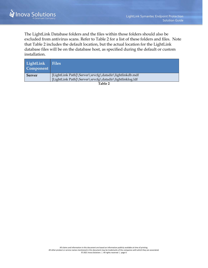The LightLink Database folders and the files within those folders should also be excluded from antivirus scans. Refer to Table 2 for a list of these folders and files. Note that [Table 2](#page-8-0) includes the default location, but the actual location for the LightLink database files will be on the database host, as specified during the default or custom installation.

<span id="page-8-0"></span>

| LightLink<br>Component | <b>Files</b>                                            |
|------------------------|---------------------------------------------------------|
| <b>Server</b>          | [LightLink Path]\Server\srvcfg\datadir\lightlinkdb.mdf  |
|                        | [LightLink Path]\Server\srvcfg\datadir\lightlinklog.ldf |
|                        | <b>m</b> 11 A                                           |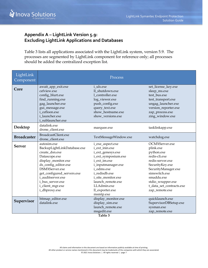

# <span id="page-9-0"></span>**Appendix A – LightLink Version 5.9: Excluding LightLink Applications and Databases**

[Table 3](#page-9-1) lists all applications associated with the LightLink system, version 5.9. The processes are segmented by LightLink component for reference only; all processes should be added the centralized exception list.

<span id="page-9-1"></span>

| LightLink<br>Component |                                         | Process               |                          |
|------------------------|-----------------------------------------|-----------------------|--------------------------|
| Core                   | await_app_exit.exe                      | <i>i</i> uls.exe      | set_license_key.exe      |
|                        | cefview.exe                             | ll shutdown.exe       | sleep_ms.exe             |
|                        | config_blurt.exe                        | 1 controller.exe      | test bus.exe             |
|                        | find_running.exe                        | log_viewer.exe        | test_transport.exe       |
|                        | gag_launcher.exe                        | push_config.exe       | ungag_launcher.exe       |
|                        | gui_message.exe                         | query_text.exe        | version_reporter.exe     |
|                        | i cefloon.exe<br>i launcher.exe         | show hostname.exe     | zap_process.exe          |
|                        | i sublauncher.exe                       | show_versions.exe     | zing_window.exe          |
| Desktop                | datalink.exe                            | marquee.exe           | tasklinkapp.exe          |
|                        | drone_client.exe                        |                       |                          |
| <b>Broadcaster</b>     | BroadcastClient.exe<br>drone_client.exe | TextMessageWindow.exe | watchdog.exe             |
|                        | autosim.exe                             | i_exe_aspect.exe      | OCMXServer.exe           |
| <b>Server</b>          | BackupLightLinkDatabase.exe             | i_ext_inin.exe        | plink.exe                |
|                        | create_dsn.exe                          | i_ext_genesys.exe     | python.exe               |
|                        | Datascope.exe                           | i_ext_symposium.exe   | redis-cli.exe            |
|                        | display_monitor.exe                     | i_ext_im.exe          | redis-server.exe         |
|                        | ds_config_editor.exe                    | i_inputmanager.exe    | SecurityKey.exe          |
|                        | DSMXServer.exe                          | i odms.exe            | SecurityManager.exe      |
|                        | get_configured_servers.exe              | i redisdb.exe         | simswitch.exe            |
|                        | i_auditserver.exe                       | i_site_monitor.exe    | smaddu.exe               |
|                        | i_bus_server.exe                        | launch_remote.exe     | stdio_wrapper.exe        |
|                        | i_client_mgr.exe                        | LLAdmin.exe           | t_data_set_contracts.exe |
|                        | i_dbproxy.exe                           | ll_exporter.exe       | zap_remote.exe           |
|                        |                                         | msmtp.exe             |                          |
| Supervisor             | bitmap_editor.exe                       | display_monitor.exe   | quicklaunch.exe          |
|                        | datalink.exe                            | display_sim.exe       | SupervisorDBSetup.exe    |
|                        |                                         | launch remote.exe     | sysman.exe               |
|                        |                                         | msgedit.exe           | zap_remote.exe           |
|                        |                                         | Table 3               |                          |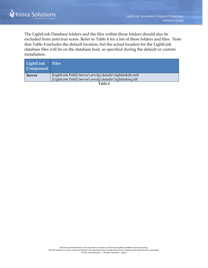The LightLink Database folders and the files within those folders should also be excluded from antivirus scans. Refer to [Table 4](#page-10-0) for a list of these folders and files. Note that [Table 4](#page-10-0) includes the default location, but the actual location for the LightLink database files will be on the database host, as specified during the default or custom installation.

<span id="page-10-0"></span>

| LightLink<br>Component | <b>Files</b>                                            |
|------------------------|---------------------------------------------------------|
| <b>Server</b>          | [LightLink Path]\Server\srvcfg\datadir\lightlinkdb.mdf  |
|                        | [LightLink Path]\Server\srvcfg\datadir\lightlinklog.ldf |
|                        | ---                                                     |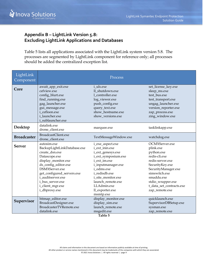

# <span id="page-11-0"></span>**Appendix B – LightLink Version 5.8: Excluding LightLink Applications and Databases**

[Table 5](#page-11-1) lists all applications associated with the LightLink system version 5.8. The processes are segmented by LightLink component for reference only; all processes should be added the centralized exception list.

<span id="page-11-1"></span>

| LightLink<br>Component |                             | Process                       |                          |
|------------------------|-----------------------------|-------------------------------|--------------------------|
| Core                   | await_app_exit.exe          | i_uls.exe                     | set_license_key.exe      |
|                        | cefview.exe                 | ll shutdown.exe               | sleep_ms.exe             |
|                        | config_blurt.exe            | 1 controller.exe              | test_bus.exe             |
|                        | find_running.exe            | log_viewer.exe                | test_transport.exe       |
|                        | gag_launcher.exe            | push_config.exe               | ungag_launcher.exe       |
|                        | gui_message.exe             | query_text.exe                | version_reporter.exe     |
|                        | i cefloon.exe               | show_hostname.exe             | zap_process.exe          |
|                        | i launcher.exe              | show versions.exe             | zing_window.exe          |
|                        | i_sublauncher.exe           |                               |                          |
| Desktop                | datalink.exe                | marquee.exe                   | tasklinkapp.exe          |
|                        | drone_client.exe            |                               |                          |
| <b>Broadcaster</b>     | BroadcastClient.exe         |                               |                          |
|                        | drone_client.exe            | TextMessageWindow.exe         | watchdog.exe             |
|                        | autosim.exe                 | i_exe_aspect.exe              | OCMXServer.exe           |
| <b>Server</b>          | BackupLightLinkDatabase.exe | i_ext_inin.exe                | plink.exe                |
|                        | create_dsn.exe              | i_ext_genesys.exe             | python.exe               |
|                        | Datascope.exe               | i_ext_symposium.exe           | redis-cli.exe            |
|                        | display_monitor.exe         | i_ext_im.exe                  | redis-server.exe         |
|                        | ds_config_editor.exe        | i_inputmanager.exe            | SecurityKey.exe          |
|                        | DSMXServer.exe              | i_odms.exe                    | SecurityManager.exe      |
|                        | get_configured_servers.exe  | i_redisdb.exe                 | simswitch.exe            |
|                        | i_auditserver.exe           | i_site_monitor.exe            | smaddu.exe               |
|                        | i_bus_server.exe            | launch_remote.exe             | stdio_wrapper.exe        |
|                        | i_client_mgr.exe            | LLAdmin.exe                   | t_data_set_contracts.exe |
|                        | i_dbproxy.exe               | ll_exporter.exe               | zap_remote.exe           |
|                        |                             | msmtp.exe                     |                          |
| Supervisor             | bitmap_editor.exe           | display_monitor.exe           | quicklaunch.exe          |
|                        | BroadcastDesigner.exe       | display_sim.exe               | SupervisorDBSetup.exe    |
|                        | BroadcasterTVRemote.exe     | launch_remote.exe             | sysman.exe               |
|                        | datalink.exe                | msgedit.exe<br>$TT = 1.1 - T$ | zap_remote.exe           |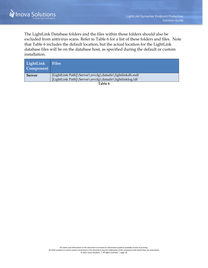The LightLink Database folders and the files within those folders should also be excluded from antivirus scans. Refer to [Table 6](#page-12-0) for a list of these folders and files. Note that [Table 6](#page-12-0) includes the default location, but the actual location for the LightLink database files will be on the database host, as specified during the default or custom installation.

<span id="page-12-0"></span>

| LightLink<br>Component | <b>Files</b>                                            |
|------------------------|---------------------------------------------------------|
| <b>Server</b>          | [LightLink Path]\Server\srvcfg\datadir\lightlinkdb.mdf  |
|                        | [LightLink Path]\Server\srvcfg\datadir\lightlinklog.ldf |
|                        | $\mathbf{m}$ 11 $\epsilon$                              |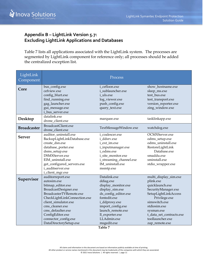

# <span id="page-13-0"></span>**Appendix B – LightLink Version 5.7: Excluding LightLink Applications and Databases**

[Table 7](#page-13-1) lists all applications associated with the LightLink system. The processes are segmented by LightLink component for reference only; all processes should be added the centralized exception list.

<span id="page-13-1"></span>

| LightLink<br>Component |                              | Process                 |                          |
|------------------------|------------------------------|-------------------------|--------------------------|
| Core                   | bus_config.exe               | i cefloon.exe           | show_hostname.exe        |
|                        | cefview.exe                  | i sublauncher.exe       | sleep_ms.exe             |
|                        | config_blurt.exe             | i uls.exe               | test_bus.exe             |
|                        | find_running.exe             | log_viewer.exe          | test_transport.exe       |
|                        | gag_launcher.exe             | push_config.exe         | version_reporter.exe     |
|                        | gui_message.exe              | query_text.exe          | zing_window.exe          |
|                        | i_bus_server.exe             |                         |                          |
| Desktop                | datalink.exe                 | marquee.exe             | tasklinkapp.exe          |
|                        | drone_client.exe             |                         |                          |
| <b>Broadcaster</b>     | BroadcastClient.exe          | TextMessageWindow.exe   | watchdog.exe             |
|                        | drone_client.exe             |                         |                          |
| <b>Server</b>          | auditor uninstall.exe        | i coalescer.exe         | OCMXServer.exe           |
|                        | BackupLightLinkDatabase.exe  | i ddsrv.exe             | odms_setup.exe           |
|                        | create dsn.exe               | i_ext_im.exe            | odms uninstall.exe       |
|                        | database_porter.exe          | i_inputmanager.exe      | RestoreLightLink         |
|                        | dsms_setup.exe               | i odms.exe              | Database.exe             |
|                        | DSMXServer.exe               | i_site_monitor.exe      | smaddu.exe               |
|                        | EIM uninstall.exe            | i_streaming_channel.exe | sminstall.exe            |
|                        | get_configured_servers.exe   | IM uninstall.exe        | stdio_wrapper.exe        |
|                        | i auditserver.exe            | msmtp.exe               |                          |
|                        | i_client_mgr.exe             |                         |                          |
| Supervisor             | auditorreport.exe            | Datalink.exe            | multi_display_sim.exe    |
|                        | autosim.exe                  | ddiag.exe               | plink.exe                |
|                        | bitmap_editor.exe            | display_monitor.exe     | quicklaunch.exe          |
|                        | BroadcastDesigner.exe        | display_sim.exe         | SecurityManager.exe      |
|                        | BroadcasterTVRemote.exe      | ds_config_editor.exe    | SetupLightLinkAccess     |
|                        | CheckLightLinkConnection.exe | fontedit.exe            | Privilege.exe            |
|                        | client simulator.exe         | i_ddproxy.exe           | simswitch.exe            |
|                        | cms cleaner.exe              | import_config.exe       | stdiosim.exe             |
|                        | cms_defaulter.exe            | launch_remote.exe       | sysman.exe               |
|                        | ConfigEditor.exe             | ll_exporter.exe         | t_data_set_contracts.exe |
|                        | connector_config.exe         | LLAdmin.exe             | toollauncher.exe         |
|                        | DataDirectorySetup.exe       | msgedit.exe<br>Table 7  | zap_remote.exe           |